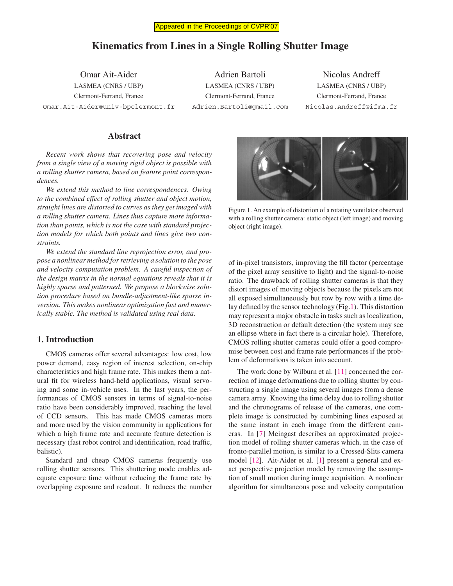# **Kinematics from Lines in a Single Rolling Shutter Image**

Omar Ait-Aider LASMEA (CNRS / UBP) Clermont-Ferrand, France Omar.Ait-Aider@univ-bpclermont.fr

Adrien Bartoli LASMEA (CNRS / UBP) Clermont-Ferrand, France Adrien.Bartoli@gmail.com

Nicolas Andreff LASMEA (CNRS / UBP) Clermont-Ferrand, France Nicolas.Andreff@ifma.fr

## **Abstract**

*Recent work shows that recovering pose and velocity from a single view of a moving rigid object is possible with a rolling shutter camera, based on feature point correspondences.*

*We extend this method to line correspondences. Owing to the combined effect of rolling shutter and object motion, straight lines are distorted to curves as they get imaged with a rolling shutter camera. Lines thus capture more information than points, which is not the case with standard projection models for which both points and lines give two constraints.*

*We extend the standard line reprojection error, and propose a nonlinear method for retrieving a solution to the pose and velocity computation problem. A careful inspection of the design matrix in the normal equations reveals that it is highly sparse and patterned. We propose a blockwise solution procedure based on bundle-adjustment-like sparse inversion. This makes nonlinear optimization fast and numerically stable. The method is validated using real data.*

## **1. Introduction**

CMOS cameras offer several advantages: low cost, low power demand, easy region of interest selection, on-chip characteristics and high frame rate. This makes them a natural fit for wireless hand-held applications, visual servoing and some in-vehicle uses. In the last years, the performances of CMOS sensors in terms of signal-to-noise ratio have been considerably improved, reaching the level of CCD sensors. This has made CMOS cameras more and more used by the vision community in applications for which a high frame rate and accurate feature detection is necessary (fast robot control and identification, road traffic, balistic).

Standard and cheap CMOS cameras frequently use rolling shutter sensors. This shuttering mode enables adequate exposure time without reducing the frame rate by overlapping exposure and readout. It reduces the number



Figure 1. An example of distortion of a rotating ventilator observed with a rolling shutter camera: static object (left image) and moving object (right image).

of in-pixel transistors, improving the fill factor (percentage of the pixel array sensitive to light) and the signal-to-noise ratio. The drawback of rolling shutter cameras is that they distort images of moving objects because the pixels are not all exposed simultaneously but row by row with a time delay defined by the sensor technology (Fig.1). This distortion may represent a major obstacle in tasks such as localization, 3D reconstruction or default detection (the system may see an ellipse where in fact there is a circular hole). Therefore, CMOS rolling shutter cameras could offer a good compromise between cost and frame rate performances if the problem of deformations is taken into account.

The work done by Wilburn et al. [11] concerned the correction of image deformations due to rolling shutter by constructing a single image using several images from a dense camera array. Knowing the time delay due to rolling shutter and the chronograms of release of the cameras, one complete image is constructed by combining lines exposed at the same instant in each image from the different cameras. In [7] Meingast describes an approximated projection model of rolling shutter cameras which, in the case of fronto-parallel motion, is similar to a Crossed-Slits camera model [12]. Ait-Aider et al. [1] present a general and exact perspective projection model by removing the assumption of small motion during image acquisition. A nonlinear algorithm for simultaneous pose and velocity computation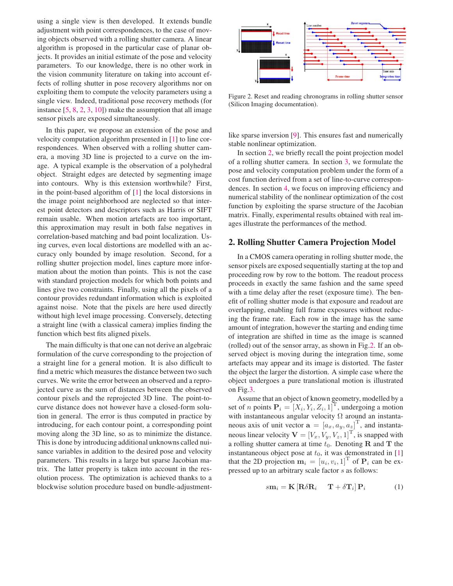using a single view is then developed. It extends bundle adjustment with point correspondences, to the case of moving objects observed with a rolling shutter camera. A linear algorithm is proposed in the particular case of planar objects. It provides an initial estimate of the pose and velocity parameters. To our knowledge, there is no other work in the vision community literature on taking into account effects of rolling shutter in pose recovery algorithms nor on exploiting them to compute the velocity parameters using a single view. Indeed, traditional pose recovery methods (for instance  $[5, 8, 2, 3, 10]$  make the assumption that all image sensor pixels are exposed simultaneously.

In this paper, we propose an extension of the pose and velocity computation algorithm presented in [1] to line correspondences. When observed with a rolling shutter camera, a moving 3D line is projected to a curve on the image. A typical example is the observation of a polyhedral object. Straight edges are detected by segmenting image into contours. Why is this extension worthwhile? First, in the point-based algorithm of [1] the local distorsions in the image point neighborhood are neglected so that interest point detectors and descriptors such as Harris or SIFT remain usable. When motion artefacts are too important, this approximation may result in both false negatives in correlation-based matching and bad point localization. Using curves, even local distortions are modelled with an accuracy only bounded by image resolution. Second, for a rolling shutter projection model, lines capture more information about the motion than points. This is not the case with standard projection models for which both points and lines give two constraints. Finally, using all the pixels of a contour provides redundant information which is exploited against noise. Note that the pixels are here used directly without high level image processing. Conversely, detecting a straight line (with a classical camera) implies finding the function which best fits aligned pixels.

The main difficulty is that one can not derive an algebraic formulation of the curve corresponding to the projection of a straight line for a general motion. It is also difficult to find a metric which measures the distance between two such curves. We write the error between an observed and a reprojected curve as the sum of distances between the observed contour pixels and the reprojected 3D line. The point-tocurve distance does not however have a closed-form solution in general. The error is thus computed in practice by introducing, for each contour point, a corresponding point moving along the 3D line, so as to minimize the distance. This is done by introducing additional unknowns called nuisance variables in addition to the desired pose and velocity parameters. This results in a large but sparse Jacobian matrix. The latter property is taken into account in the resolution process. The optimization is achieved thanks to a blockwise solution procedure based on bundle-adjustment-



Figure 2. Reset and reading chronograms in rolling shutter sensor (Silicon Imaging documentation).

like sparse inversion [9]. This ensures fast and numerically stable nonlinear optimization.

In section 2, we briefly recall the point projection model of a rolling shutter camera. In section 3, we formulate the pose and velocity computation problem under the form of a cost function derived from a set of line-to-curve correspondences. In section 4, we focus on improving efficiency and numerical stability of the nonlinear optimization of the cost function by exploiting the sparse structure of the Jacobian matrix. Finally, experimental results obtained with real images illustrate the performances of the method.

## **2. Rolling Shutter Camera Projection Model**

In a CMOS camera operating in rolling shutter mode, the sensor pixels are exposed sequentially starting at the top and proceeding row by row to the bottom. The readout process proceeds in exactly the same fashion and the same speed with a time delay after the reset (exposure time). The benefit of rolling shutter mode is that exposure and readout are overlapping, enabling full frame exposures without reducing the frame rate. Each row in the image has the same amount of integration, however the starting and ending time of integration are shifted in time as the image is scanned (rolled) out of the sensor array, as shown in Fig.2. If an observed object is moving during the integration time, some artefacts may appear and its image is distorted. The faster the object the larger the distortion. A simple case where the object undergoes a pure translational motion is illustrated on Fig.3.

Assume that an object of known geometry, modelled by a set of *n* points  $P_i = [X_i, Y_i, Z_i, 1]^T$ , undergoing a motion with instantaneous angular velocity  $\Omega$  around an instantaneous axis of unit vector  $\mathbf{a} = [a_x, a_y, a_z]^T$ , and instantaneous linear velocity  $V = [V_x, V_y, V_z, 1]^T$ , is snapped with a rolling shutter camera at time  $t_0$ . Denoting **R** and **T** the instantaneous object pose at  $t_0$ , it was demonstrated in [1] that the 2D projection  $\mathbf{m}_i = [u_i, v_i, 1]^T$  of  $\mathbf{P}_i$  can be expressed up to an arbitrary scale factor s as follows:

$$
s\mathbf{m}_{i} = \mathbf{K} \begin{bmatrix} \mathbf{R} \delta \mathbf{R}_{i} & \mathbf{T} + \delta \mathbf{T}_{i} \end{bmatrix} \mathbf{P}_{i}
$$
 (1)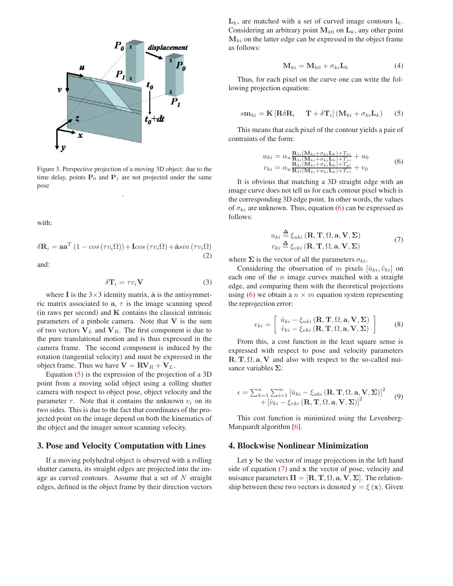

Figure 3. Perspective projection of a moving 3D object: due to the time delay, points  $P_0$  and  $P_1$  are not projected under the same pose

.

with:

$$
\delta \mathbf{R}_{i} = \mathbf{a} \mathbf{a}^{T} \left( 1 - \cos \left( \tau v_{i} \Omega \right) \right) + \mathbf{I} \cos \left( \tau v_{i} \Omega \right) + \hat{\mathbf{a}} \sin \left( \tau v_{i} \Omega \right) \tag{2}
$$

and:

$$
\delta \mathbf{T}_i = \tau v_i \mathbf{V} \tag{3}
$$

where **I** is the  $3 \times 3$  identity matrix,  $\hat{a}$  is the antisymmetric matrix associated to  $a, \tau$  is the image scanning speed (in raws per second) and **K** contains the classical intrinsic parameters of a pinhole camera. Note that **V** is the sum of two vectors  $V_L$  and  $V_R$ . The first component is due to the pure translational motion and is thus expressed in the camera frame. The second component is induced by the rotation (tangential velocity) and must be expressed in the object frame. Thus we have  $V = RV_R + V_L$ .

Equation (5) is the expression of the projection of a 3D point from a moving solid object using a rolling shutter camera with respect to object pose, object velocity and the parameter  $\tau$ . Note that it contains the unknown  $v_i$  on its two sides. This is due to the fact that coordinates of the projected point on the image depend on both the kinematics of the object and the imager sensor scanning velocity.

## **3. Pose and Velocity Computation with Lines**

If a moving polyhedral object is observed with a rolling shutter camera, its straight edges are projected into the image as curved contours. Assume that a set of  $N$  straight edges, defined in the object frame by their direction vectors  $L_k$ , are matched with a set of curved image contours  $l_k$ . Considering an arbitrary point  $M_{k0}$  on  $L_k$ , any other point  $M_{ki}$  on the latter edge can be expressed in the object frame as follows:

$$
\mathbf{M}_{ki} = \mathbf{M}_{k0} + \sigma_{ki} \mathbf{L}_k \tag{4}
$$

Thus, for each pixel on the curve one can write the following projection equation:

$$
s\mathbf{m}_{ki} = \mathbf{K} \begin{bmatrix} \mathbf{R} \delta \mathbf{R}_i & \mathbf{T} + \delta \mathbf{T}_i \end{bmatrix} (\mathbf{M}_{ki} + \sigma_{ki} \mathbf{L}_k) \tag{5}
$$

This means that each pixel of the contour yields a pair of contraints of the form:

$$
u_{ki} = \alpha_u \frac{\mathbf{R}_{1i}(\mathbf{M}_{ki} + \sigma_{ki}\mathbf{L}_k) + T_{xi}}{\mathbf{R}_{3i}(\mathbf{M}_{ki} + \sigma_{ki}\mathbf{L}_k) + T_{zi}} + u_0
$$
  

$$
v_{ki} = \alpha_u \frac{\mathbf{R}_{2i}(\mathbf{M}_{ki} + \sigma_{ki}\mathbf{L}_k) + T_{yi}}{\mathbf{R}_{3i}(\mathbf{M}_{ki} + \sigma_{ki}\mathbf{L}_k) + T_{zi}} + v_0
$$
 (6)

It is obvious that matching a 3D straight edge with an image curve does not tell us for each contour pixel which is the corresponding 3D edge point. In other words, the values of  $\sigma_{ki}$  are unknown. Thus, equation (6) can be expressed as follows:

$$
u_{ki} \stackrel{\Delta}{=} \xi_{uki} (\mathbf{R}, \mathbf{T}, \Omega, \mathbf{a}, \mathbf{V}, \Sigma)
$$
  
\n
$$
v_{ki} \stackrel{\Delta}{=} \xi_{vki} (\mathbf{R}, \mathbf{T}, \Omega, \mathbf{a}, \mathbf{V}, \Sigma)
$$
 (7)

where  $\Sigma$  is the vector of all the parameters  $\sigma_{ki}$ .

Considering the observation of m pixels  $[\hat{u}_{ki}, \hat{v}_{ki}]$  on each one of the  $n$  image curves matched with a straight edge, and comparing them with the theoretical projections using (6) we obtain a  $n \times m$  equation system representing the reprojection error:

$$
\epsilon_{ki} = \left[ \begin{array}{c} \hat{u}_{ki} - \xi_{uki} \left( \mathbf{R}, \mathbf{T}, \Omega, \mathbf{a}, \mathbf{V}, \boldsymbol{\Sigma} \right) \\ \hat{v}_{ki} - \xi_{vki} \left( \mathbf{R}, \mathbf{T}, \Omega, \mathbf{a}, \mathbf{V}, \boldsymbol{\Sigma} \right) \end{array} \right] \tag{8}
$$

From this, a cost function in the least square sense is expressed with respect to pose and velocity parameters  $\mathbf{R}, \mathbf{T}, \Omega, \mathbf{a}, \mathbf{V}$  and also with respect to the so-called nuisance variables **Σ**:

$$
\epsilon = \sum_{k=1}^{n} \sum_{i=1}^{m} \left[ \hat{u}_{ki} - \xi_{uki} (\mathbf{R}, \mathbf{T}, \Omega, \mathbf{a}, \mathbf{V}, \Sigma) \right]^2 + \left[ \hat{v}_{ki} - \xi_{vki} (\mathbf{R}, \mathbf{T}, \Omega, \mathbf{a}, \mathbf{V}, \Sigma) \right]^2 \tag{9}
$$

This cost function is minimized using the Levenberg-Marquardt algorithm [6].

## **4. Blockwise Nonlinear Minimization**

Let **y** be the vector of image projections in the left hand side of equation (7) and **x** the vector of pose, velocity and nuisance parameters  $\Pi = [\mathbf{R}, \mathbf{T}, \Omega, \mathbf{a}, \mathbf{V}, \Sigma]$ . The relationship between these two vectors is denoted  $\mathbf{y} = \xi(\mathbf{x})$ . Given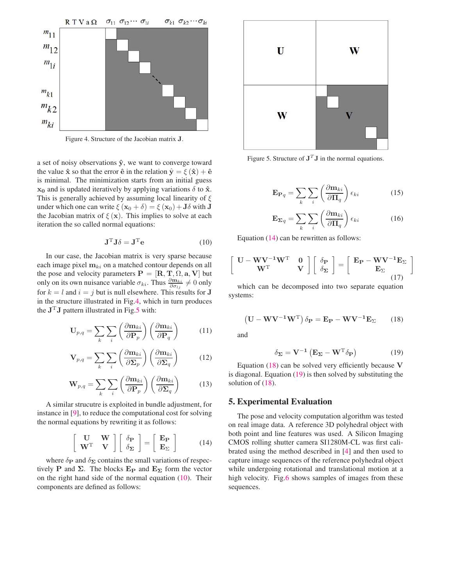

Figure 4. Structure of the Jacobian matrix **J**.

a set of noisy observations  $\hat{y}$ , we want to converge toward the value  $\hat{\mathbf{x}}$  so that the error  $\hat{\mathbf{e}}$  in the relation  $\hat{\mathbf{y}} = \xi(\hat{\mathbf{x}}) + \hat{\mathbf{e}}$ is minimal. The minimization starts from an initial guess  $x_0$  and is updated iteratively by applying variations  $\delta$  to  $\hat{x}$ . This is generally achieved by assuming local linearity of  $\xi$ under which one can write  $\xi$  (**x**<sub>0</sub> +  $\delta$ ) =  $\xi$  (**x**<sub>0</sub>) + **J** $\delta$  with **J** the Jacobian matrix of  $\xi(\mathbf{x})$ . This implies to solve at each iteration the so called normal equations:

$$
\mathbf{J}^{\mathrm{T}}\mathbf{J}\delta = \mathbf{J}^{\mathrm{T}}\mathbf{e}
$$
 (10)

In our case, the Jacobian matrix is very sparse because each image pixel  $\mathbf{m}_{ki}$  on a matched contour depends on all the pose and velocity parameters  $P = [\mathbf{R}, \mathbf{T}, \Omega, \mathbf{a}, \mathbf{V}]$  but only on its own nuisance variable  $\sigma_{ki}$ . Thus  $\frac{\partial m_{ki}}{\partial \sigma_{lj}} \neq 0$  only for  $k = l$  and  $i = j$  but is null elsewhere. This results for **J** in the structure illustrated in Fig.4, which in turn produces the  $J<sup>T</sup>J$  pattern illustrated in Fig.5 with:

$$
\mathbf{U}_{p,q} = \sum_{k} \sum_{i} \left( \frac{\partial \mathbf{m}_{ki}}{\partial \mathbf{P}_p} \right) \left( \frac{\partial \mathbf{m}_{ki}}{\partial \mathbf{P}_q} \right) \tag{11}
$$

$$
\mathbf{V}_{p,q} = \sum_{k} \sum_{i} \left( \frac{\partial \mathbf{m}_{ki}}{\partial \Sigma_p} \right) \left( \frac{\partial \mathbf{m}_{ki}}{\partial \Sigma_q} \right) \tag{12}
$$

$$
\mathbf{W}_{p,q} = \sum_{k} \sum_{i} \left( \frac{\partial \mathbf{m}_{ki}}{\partial \mathbf{P}_p} \right) \left( \frac{\partial \mathbf{m}_{ki}}{\partial \mathbf{\Sigma}_q} \right) \tag{13}
$$

A similar strucutre is exploited in bundle adjustment, for instance in [9], to reduce the computational cost for solving the normal equations by rewriting it as follows:

$$
\left[\begin{array}{cc} \mathbf{U} & \mathbf{W} \\ \mathbf{W}^{\mathrm{T}} & \mathbf{V} \end{array}\right] \left[\begin{array}{c} \delta_{\mathbf{P}} \\ \delta_{\mathbf{\Sigma}} \end{array}\right] = \left[\begin{array}{c} \mathbf{E}_{\mathbf{P}} \\ \mathbf{E}_{\Sigma} \end{array}\right] \tag{14}
$$

where  $\delta_P$  and  $\delta_{\Sigma}$  contains the small variations of respectively **P** and  $\Sigma$ . The blocks  $E_P$  and  $E_\Sigma$  form the vector on the right hand side of the normal equation (10). Their components are defined as follows:



Figure 5. Structure of  $J^T J$  in the normal equations.

$$
\mathbf{E}_{\mathbf{P}_q} = \sum_{k} \sum_{i} \left( \frac{\partial \mathbf{m}_{ki}}{\partial \mathbf{\Pi}_q} \right) \epsilon_{ki} \tag{15}
$$

$$
\mathbf{E}_{\mathbf{\Sigma}_q} = \sum_{k} \sum_{i} \left( \frac{\partial \mathbf{m}_{ki}}{\partial \mathbf{\Pi}_q} \right) \epsilon_{ki} \tag{16}
$$

1

Equation (14) can be rewritten as follows:

$$
\begin{bmatrix}\n\mathbf{U} - \mathbf{W} \mathbf{V}^{-1} \mathbf{W}^{\mathrm{T}} & \mathbf{0} \\
\mathbf{W}^{\mathrm{T}} & \mathbf{V}\n\end{bmatrix}\n\begin{bmatrix}\n\delta_{\mathbf{P}} \\
\delta_{\mathbf{\Sigma}}\n\end{bmatrix} = \begin{bmatrix}\n\mathbf{E}_{\mathbf{P}} - \mathbf{W} \mathbf{V}^{-1} \mathbf{E}_{\Sigma} \\
\mathbf{E}_{\Sigma} \\
\mathbf{0} \\
\mathbf{0}\n\end{bmatrix}
$$
\n(17)

which can be decomposed into two separate equation systems:

$$
\left(\mathbf{U} - \mathbf{W}\mathbf{V}^{-1}\mathbf{W}^{\mathrm{T}}\right)\delta_{\mathbf{P}} = \mathbf{E}_{\mathbf{P}} - \mathbf{W}\mathbf{V}^{-1}\mathbf{E}_{\Sigma} \tag{18}
$$

and

$$
\delta_{\Sigma} = \mathbf{V}^{-1} \left( \mathbf{E}_{\Sigma} - \mathbf{W}^{\mathrm{T}} \delta_{\mathbf{P}} \right) \tag{19}
$$

Equation (18) can be solved very efficiently because **V** is diagonal. Equation (19) is then solved by substituting the solution of (18).

### **5. Experimental Evaluation**

The pose and velocity computation algorithm was tested on real image data. A reference 3D polyhedral object with both point and line features was used. A Silicon Imaging CMOS rolling shutter camera SI1280M-CL was first calibrated using the method described in [4] and then used to capture image sequences of the reference polyhedral object while undergoing rotational and translational motion at a high velocity. Fig.6 shows samples of images from these sequences.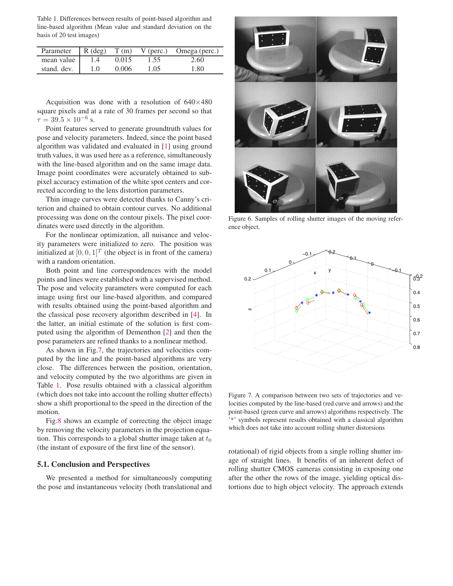Table 1. Differences between results of point-based algorithm and line-based algorithm (Mean value and standard deviation on the basis of 20 test images)

|             |     |       |      | Parameter $\mid R$ (deg) T (m) V (perc.) Omega (perc.) |
|-------------|-----|-------|------|--------------------------------------------------------|
| mean value  | 1.4 | 0.015 | 1.55 | 2.60                                                   |
| stand. dev. | 1.0 | 0.006 | 1.05 | 1.80                                                   |

Acquisition was done with a resolution of  $640\times480$ square pixels and at a rate of 30 frames per second so that  $\tau = 39.5 \times 10^{-6}$  s.

Point features served to generate groundtruth values for pose and velocity parameters. Indeed, since the point based algorithm was validated and evaluated in [1] using ground truth values, it was used here as a reference, simultaneously with the line-based algorithm and on the same image data. Image point coordinates were accurately obtained to subpixel accuracy estimation of the white spot centers and corrected according to the lens distortion parameters.

Thin image curves were detected thanks to Canny's criterion and chained to obtain contour curves. No additional processing was done on the contour pixels. The pixel coordinates were used directly in the algorithm.

For the nonlinear optimization, all nuisance and velocity parameters were initialized to zero. The position was initialized at  $[0, 0, 1]^T$  (the object is in front of the camera) with a random orientation.

Both point and line correspondences with the model points and lines were established with a supervised method. The pose and velocity parameters were computed for each image using first our line-based algorithm, and compared with results obtained using the point-based algorithm and the classical pose recovery algorithm described in [4]. In the latter, an initial estimate of the solution is first computed using the algorithm of Dementhon [2] and then the pose parameters are refined thanks to a nonlinear method.

As shown in Fig.7, the trajectories and velocities computed by the line and the point-based algorithms are very close. The differences between the position, orientation, and velocity computed by the two algorithms are given in Table 1. Pose results obtained with a classical algorithm (which does not take into account the rolling shutter effects) show a shift proportional to the speed in the direction of the motion.

Fig.8 shows an example of correcting the object image by removing the velocity parameters in the projection equation. This corresponds to a global shutter image taken at  $t_0$ (the instant of exposure of the first line of the sensor).

### **5.1. Conclusion and Perspectives**

We presented a method for simultaneously computing the pose and instantaneous velocity (both translational and



Figure 6. Samples of rolling shutter images of the moving reference object.



Figure 7. A comparison between two sets of trajectories and velocities computed by the line-based (red curve and arrows) and the point-based (green curve and arrows) algorithms respectively. The '\*' symbols represent results obtained with a classical algorithm which does not take into account rolling shutter distorsions

rotational) of rigid objects from a single rolling shutter image of straight lines. It benefits of an inherent defect of rolling shutter CMOS cameras consisting in exposing one after the other the rows of the image, yielding optical distortions due to high object velocity. The approach extends